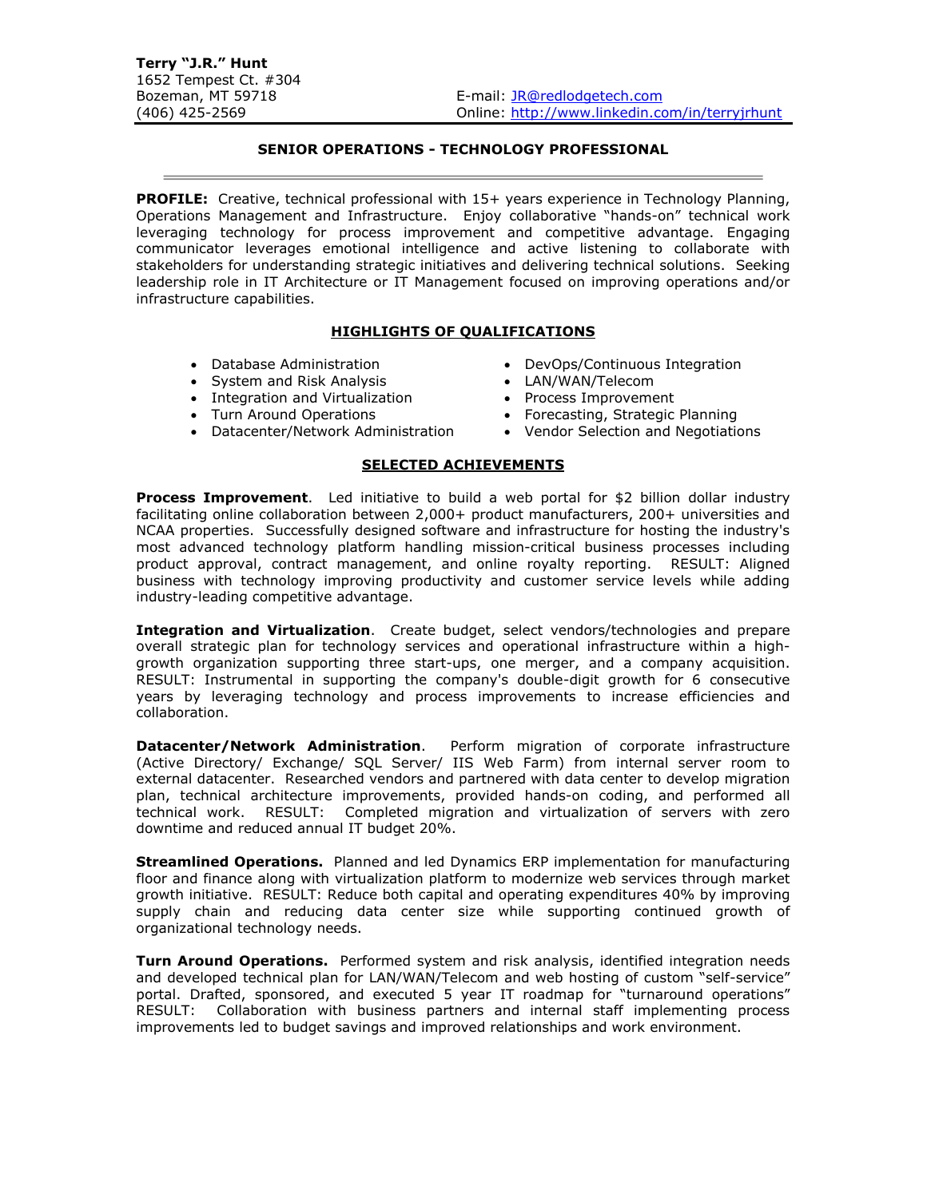# **SENIOR OPERATIONS - TECHNOLOGY PROFESSIONAL**

**PROFILE:** Creative, technical professional with 15+ years experience in Technology Planning, Operations Management and Infrastructure. Enjoy collaborative "hands-on" technical work leveraging technology for process improvement and competitive advantage. Engaging communicator leverages emotional intelligence and active listening to collaborate with stakeholders for understanding strategic initiatives and delivering technical solutions. Seeking leadership role in IT Architecture or IT Management focused on improving operations and/or infrastructure capabilities.

### **HIGHLIGHTS OF QUALIFICATIONS**

- Database Administration DevOps/Continuous Integration
- System and Risk Analysis  **LAN/WAN/Telecom**
- Integration and Virtualization Process Improvement<br>• Turn Around Operations Forecasting, Strategic
- 
- Datacenter/Network Administration Vendor Selection and Negotiations

### **SELECTED ACHIEVEMENTS**

**Process Improvement**. Led initiative to build a web portal for \$2 billion dollar industry facilitating online collaboration between 2,000+ product manufacturers, 200+ universities and NCAA properties. Successfully designed software and infrastructure for hosting the industry's most advanced technology platform handling mission-critical business processes including product approval, contract management, and online royalty reporting. RESULT: Aligned business with technology improving productivity and customer service levels while adding industry-leading competitive advantage.

**Integration and Virtualization**. Create budget, select vendors/technologies and prepare overall strategic plan for technology services and operational infrastructure within a highgrowth organization supporting three start-ups, one merger, and a company acquisition. RESULT: Instrumental in supporting the company's double-digit growth for 6 consecutive years by leveraging technology and process improvements to increase efficiencies and collaboration.

**Datacenter/Network Administration**. Perform migration of corporate infrastructure (Active Directory/ Exchange/ SQL Server/ IIS Web Farm) from internal server room to external datacenter. Researched vendors and partnered with data center to develop migration plan, technical architecture improvements, provided hands-on coding, and performed all technical work. RESULT: Completed migration and virtualization of servers with zero downtime and reduced annual IT budget 20%.

**Streamlined Operations.** Planned and led Dynamics ERP implementation for manufacturing floor and finance along with virtualization platform to modernize web services through market growth initiative. RESULT: Reduce both capital and operating expenditures 40% by improving supply chain and reducing data center size while supporting continued growth of organizational technology needs.

**Turn Around Operations.** Performed system and risk analysis, identified integration needs and developed technical plan for LAN/WAN/Telecom and web hosting of custom "self-service" portal. Drafted, sponsored, and executed 5 year IT roadmap for "turnaround operations" RESULT: Collaboration with business partners and internal staff implementing process improvements led to budget savings and improved relationships and work environment.

- 
- 
- $\bullet$  Forecasting, Strategic Planning
-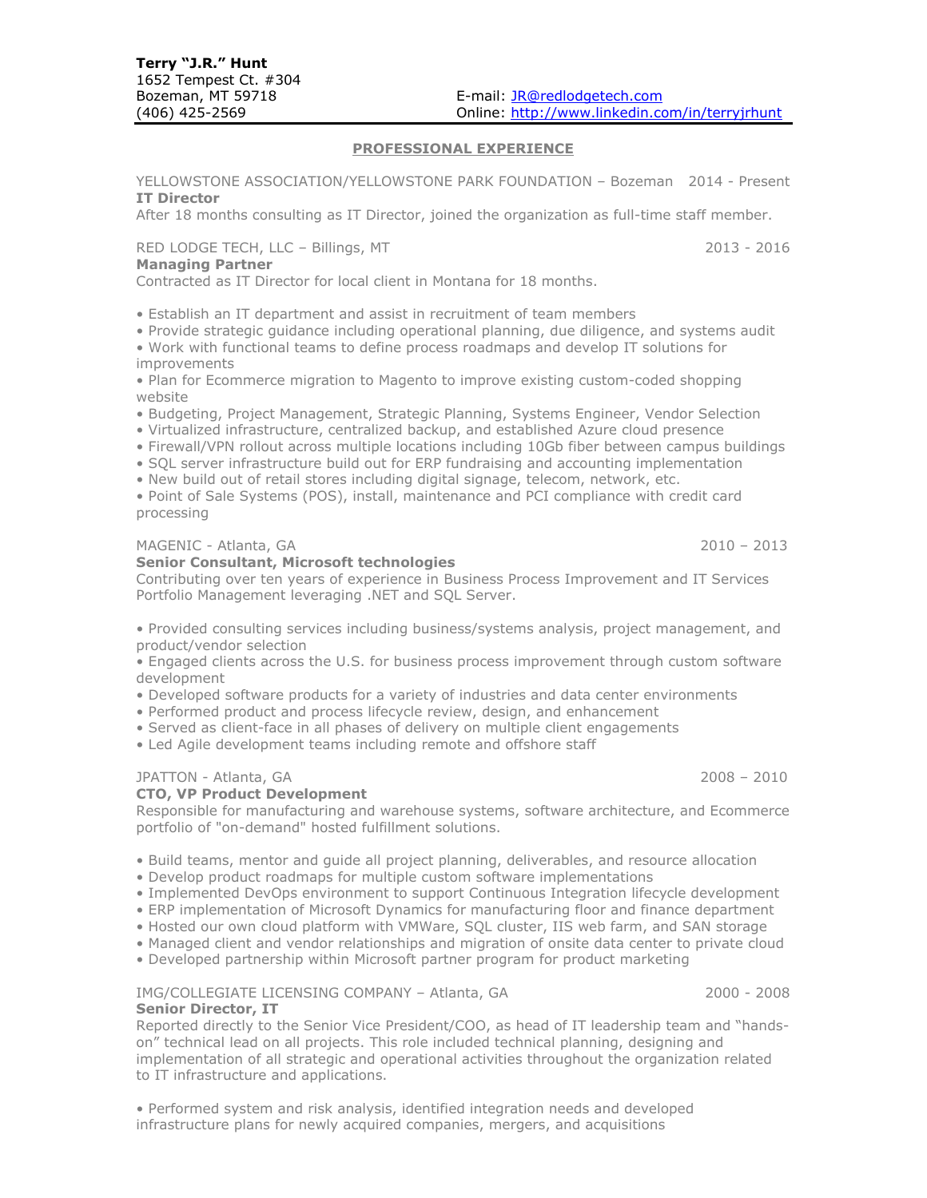#### **PROFESSIONAL EXPERIENCE**

YELLOWSTONE ASSOCIATION/YELLOWSTONE PARK FOUNDATION – Bozeman 2014 - Present **IT Director**

After 18 months consulting as IT Director, joined the organization as full-time staff member.

#### RED LODGE TECH, LLC – Billings, MT 2013 - 2016

#### **Managing Partner**

Contracted as IT Director for local client in Montana for 18 months.

• Establish an IT department and assist in recruitment of team members

- Provide strategic guidance including operational planning, due diligence, and systems audit
- Work with functional teams to define process roadmaps and develop IT solutions for improvements

• Plan for Ecommerce migration to Magento to improve existing custom-coded shopping website

- Budgeting, Project Management, Strategic Planning, Systems Engineer, Vendor Selection
- Virtualized infrastructure, centralized backup, and established Azure cloud presence
- Firewall/VPN rollout across multiple locations including 10Gb fiber between campus buildings
- SQL server infrastructure build out for ERP fundraising and accounting implementation
- New build out of retail stores including digital signage, telecom, network, etc.
- Point of Sale Systems (POS), install, maintenance and PCI compliance with credit card processing

#### MAGENIC - Atlanta, GA 2010 – 2013

**Senior Consultant, Microsoft technologies**

Contributing over ten years of experience in Business Process Improvement and IT Services Portfolio Management leveraging .NET and SQL Server.

• Provided consulting services including business/systems analysis, project management, and product/vendor selection

• Engaged clients across the U.S. for business process improvement through custom software development

- Developed software products for a variety of industries and data center environments
- Performed product and process lifecycle review, design, and enhancement
- Served as client-face in all phases of delivery on multiple client engagements
- Led Agile development teams including remote and offshore staff

#### JPATTON - Atlanta, GA 2008 – 2010

**Senior Director, IT**

### **CTO, VP Product Development**

Responsible for manufacturing and warehouse systems, software architecture, and Ecommerce portfolio of "on-demand" hosted fulfillment solutions.

- Build teams, mentor and guide all project planning, deliverables, and resource allocation
- Develop product roadmaps for multiple custom software implementations
- Implemented DevOps environment to support Continuous Integration lifecycle development
- ERP implementation of Microsoft Dynamics for manufacturing floor and finance department
- Hosted our own cloud platform with VMWare, SQL cluster, IIS web farm, and SAN storage
- Managed client and vendor relationships and migration of onsite data center to private cloud
- Developed partnership within Microsoft partner program for product marketing

# IMG/COLLEGIATE LICENSING COMPANY – Atlanta, GA 2000 - 2008

Reported directly to the Senior Vice President/COO, as head of IT leadership team and "handson" technical lead on all projects. This role included technical planning, designing and implementation of all strategic and operational activities throughout the organization related to IT infrastructure and applications.

• Performed system and risk analysis, identified integration needs and developed infrastructure plans for newly acquired companies, mergers, and acquisitions